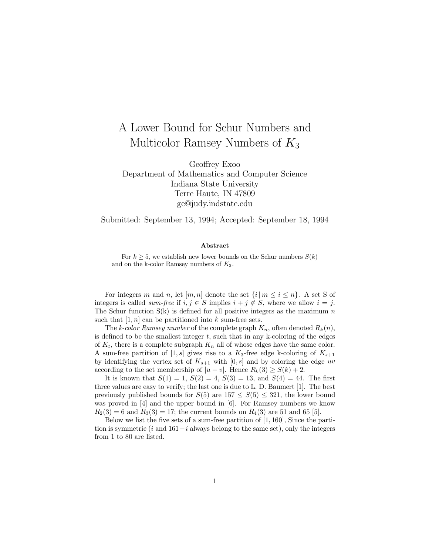## A Lower Bound for Schur Numbers and Multicolor Ramsey Numbers of  $K_3$

Geoffrey Exoo Department of Mathematics and Computer Science Indiana State University Terre Haute, IN 47809 ge@judy.indstate.edu

Submitted: September 13, 1994; Accepted: September 18, 1994

## **Abstract**

For  $k \geq 5$ , we establish new lower bounds on the Schur numbers  $S(k)$ and on the k-color Ramsey numbers of  $K_3$ .

For integers m and n, let  $[m, n]$  denote the set  $\{i \mid m \leq i \leq n\}$ . A set S of integers is called *sum-free* if  $i, j \in S$  implies  $i + j \notin S$ , where we allow  $i = j$ . The Schur function  $S(k)$  is defined for all positive integers as the maximum n such that  $[1, n]$  can be partitioned into k sum-free sets.

The k-color Ramsey number of the complete graph  $K_n$ , often denoted  $R_k(n)$ , is defined to be the smallest integer  $t$ , such that in any k-coloring of the edges of  $K_t$ , there is a complete subgraph  $K_n$  all of whose edges have the same color. A sum-free partition of [1, s] gives rise to a  $K_3$ -free edge k-coloring of  $K_{s+1}$ by identifying the vertex set of  $K_{s+1}$  with  $[0, s]$  and by coloring the edge uv according to the set membership of  $|u - v|$ . Hence  $R_k(3) \ge S(k) + 2$ .

It is known that  $S(1) = 1$ ,  $S(2) = 4$ ,  $S(3) = 13$ , and  $S(4) = 44$ . The first three values are easy to verify; the last one is due to L. D. Baumert [1]. The best previously published bounds for  $S(5)$  are  $157 \le S(5) \le 321$ , the lower bound was proved in [4] and the upper bound in [6]. For Ramsey numbers we know  $R_2(3) = 6$  and  $R_3(3) = 17$ ; the current bounds on  $R_4(3)$  are 51 and 65 [5].

Below we list the five sets of a sum-free partition of [1, 160], Since the partition is symmetric (i and  $161-i$  always belong to the same set), only the integers from 1 to 80 are listed.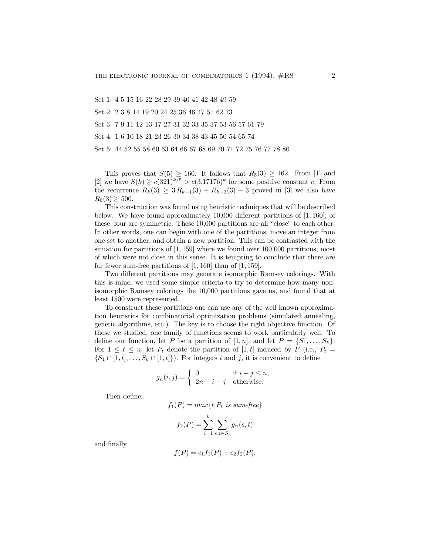Set 1: 4 5 15 16 22 28 29 39 40 41 42 48 49 59

Set 2: 2 3 8 14 19 20 24 25 36 46 47 51 62 73

Set 3: 7 9 11 12 13 17 27 31 32 33 35 37 53 56 57 61 79

Set 4: 1 6 10 18 21 23 26 30 34 38 43 45 50 54 65 74

Set 5: 44 52 55 58 60 63 64 66 67 68 69 70 71 72 75 76 77 78 80

This proves that  $S(5) \ge 160$ . It follows that  $R_5(3) \ge 162$ . From [1] and [2] we have  $S(k) \geq c(321)^{k/5} > c(3.17176)^k$  for some positive constant c. From the recurrence  $R_k(3) \geq 3 R_{k-1}(3) + R_{k-3}(3) - 3$  proved in [3] we also have  $R_6(3) \geq 500$ .

This construction was found using heuristic techniques that will be described below. We have found approximately 10,000 different partitions of [1, 160]; of these, four are symmetric. These 10,000 partitions are all "close" to each other. In other words, one can begin with one of the partitions, move an integer from one set to another, and obtain a new partition. This can be contrasted with the situation for partitions of [1, 159] where we found over 100,000 partitions, most of which were not close in this sense. It is tempting to conclude that there are far fewer sum-free partitions of  $[1, 160]$  than of  $[1, 159]$ .

Two different partitions may generate isomorphic Ramsey colorings. With this is mind, we used some simple criteria to try to determine how many nonisomorphic Ramsey colorings the 10,000 partitions gave us, and found that at least 1500 were represented.

To construct these partitions one can use any of the well known approximation heuristics for combinatorial optimization problems (simulated annealing, genetic algorithms, etc.). The key is to choose the right objective function. Of those we studied, one family of functions seems to work particularly well. To define our function, let P be a partition of [1, n], and let  $P = \{S_1, \ldots, S_k\}.$ For  $1 \leq t \leq n$ , let  $P_t$  denote the partition of [1, t] induced by P (i.e.,  $P_t$  =  $\{S_1 \cap [1, t], \ldots, S_k \cap [1, t]\}\)$ . For integers i and j, it is convenient to define

$$
g_n(i,j) = \begin{cases} 0 & \text{if } i+j \le n, \\ 2n-i-j & \text{otherwise.} \end{cases}
$$

Then define:

$$
f_1(P) = max\{t | P_t \text{ is sum-free}\}
$$

$$
f_2(P) = \sum_{i=1}^{k} \sum_{s,t \in S_i} g_n(s,t)
$$

and finally

$$
f(P) = c_1 f_1(P) + c_2 f_2(P).
$$